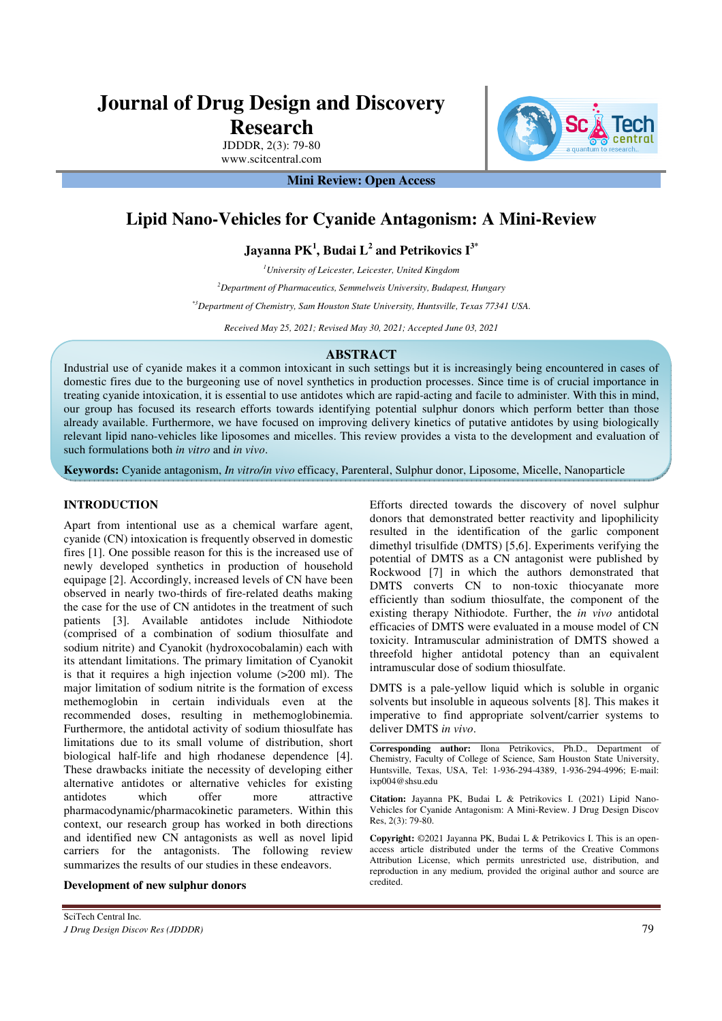# **Journal of Drug Design and Discovery Research**

JDDDR, 2(3): 79-80 www.scitcentral.com

**Mini Review: Open Access** 

# **Lipid Nano-Vehicles for Cyanide Antagonism: A Mini-Review**

**Jayanna PK<sup>1</sup> , Budai L<sup>2</sup> and Petrikovics I3\*** 

*<sup>1</sup>University of Leicester, Leicester, United Kingdom* 

*<sup>2</sup>Department of Pharmaceutics, Semmelweis University, Budapest, Hungary* 

*\*3Department of Chemistry, Sam Houston State University, Huntsville, Texas 77341 USA.* 

*Received May 25, 2021; Revised May 30, 2021; Accepted June 03, 2021* 

#### **ABSTRACT**

Industrial use of cyanide makes it a common intoxicant in such settings but it is increasingly being encountered in cases of domestic fires due to the burgeoning use of novel synthetics in production processes. Since time is of crucial importance in treating cyanide intoxication, it is essential to use antidotes which are rapid-acting and facile to administer. With this in mind, our group has focused its research efforts towards identifying potential sulphur donors which perform better than those already available. Furthermore, we have focused on improving delivery kinetics of putative antidotes by using biologically relevant lipid nano-vehicles like liposomes and micelles. This review provides a vista to the development and evaluation of such formulations both *in vitro* and *in vivo*.

**Keywords:** Cyanide antagonism, *In vitro/in vivo* efficacy, Parenteral, Sulphur donor, Liposome, Micelle, Nanoparticle

### **INTRODUCTION**

Apart from intentional use as a chemical warfare agent, cyanide (CN) intoxication is frequently observed in domestic fires [1]. One possible reason for this is the increased use of newly developed synthetics in production of household equipage [2]. Accordingly, increased levels of CN have been observed in nearly two-thirds of fire-related deaths making the case for the use of CN antidotes in the treatment of such patients [3]. Available antidotes include Nithiodote (comprised of a combination of sodium thiosulfate and sodium nitrite) and Cyanokit (hydroxocobalamin) each with its attendant limitations. The primary limitation of Cyanokit is that it requires a high injection volume (>200 ml). The major limitation of sodium nitrite is the formation of excess methemoglobin in certain individuals even at the recommended doses, resulting in methemoglobinemia. Furthermore, the antidotal activity of sodium thiosulfate has limitations due to its small volume of distribution, short biological half-life and high rhodanese dependence [4]. These drawbacks initiate the necessity of developing either alternative antidotes or alternative vehicles for existing antidotes which offer more attractive pharmacodynamic/pharmacokinetic parameters. Within this context, our research group has worked in both directions and identified new CN antagonists as well as novel lipid carriers for the antagonists. The following review summarizes the results of our studies in these endeavors.

**Development of new sulphur donors** 

Efforts directed towards the discovery of novel sulphur donors that demonstrated better reactivity and lipophilicity resulted in the identification of the garlic component dimethyl trisulfide (DMTS) [5,6]. Experiments verifying the potential of DMTS as a CN antagonist were published by Rockwood [7] in which the authors demonstrated that DMTS converts CN to non-toxic thiocyanate more efficiently than sodium thiosulfate, the component of the existing therapy Nithiodote. Further, the *in vivo* antidotal efficacies of DMTS were evaluated in a mouse model of CN toxicity. Intramuscular administration of DMTS showed a threefold higher antidotal potency than an equivalent intramuscular dose of sodium thiosulfate.

DMTS is a pale-yellow liquid which is soluble in organic solvents but insoluble in aqueous solvents [8]. This makes it imperative to find appropriate solvent/carrier systems to deliver DMTS *in vivo*.

**Corresponding author:** Ilona Petrikovics, Ph.D., Department of Chemistry, Faculty of College of Science, Sam Houston State University, Huntsville, Texas, USA, Tel: 1-936-294-4389, 1-936-294-4996; E-mail: ixp004@shsu.edu

**Citation:** Jayanna PK, Budai L & Petrikovics I. (2021) Lipid Nano-Vehicles for Cyanide Antagonism: A Mini-Review. J Drug Design Discov Res, 2(3): 79-80.

**Copyright:** ©2021 Jayanna PK, Budai L & Petrikovics I. This is an openaccess article distributed under the terms of the Creative Commons Attribution License, which permits unrestricted use, distribution, and reproduction in any medium, provided the original author and source are credited.